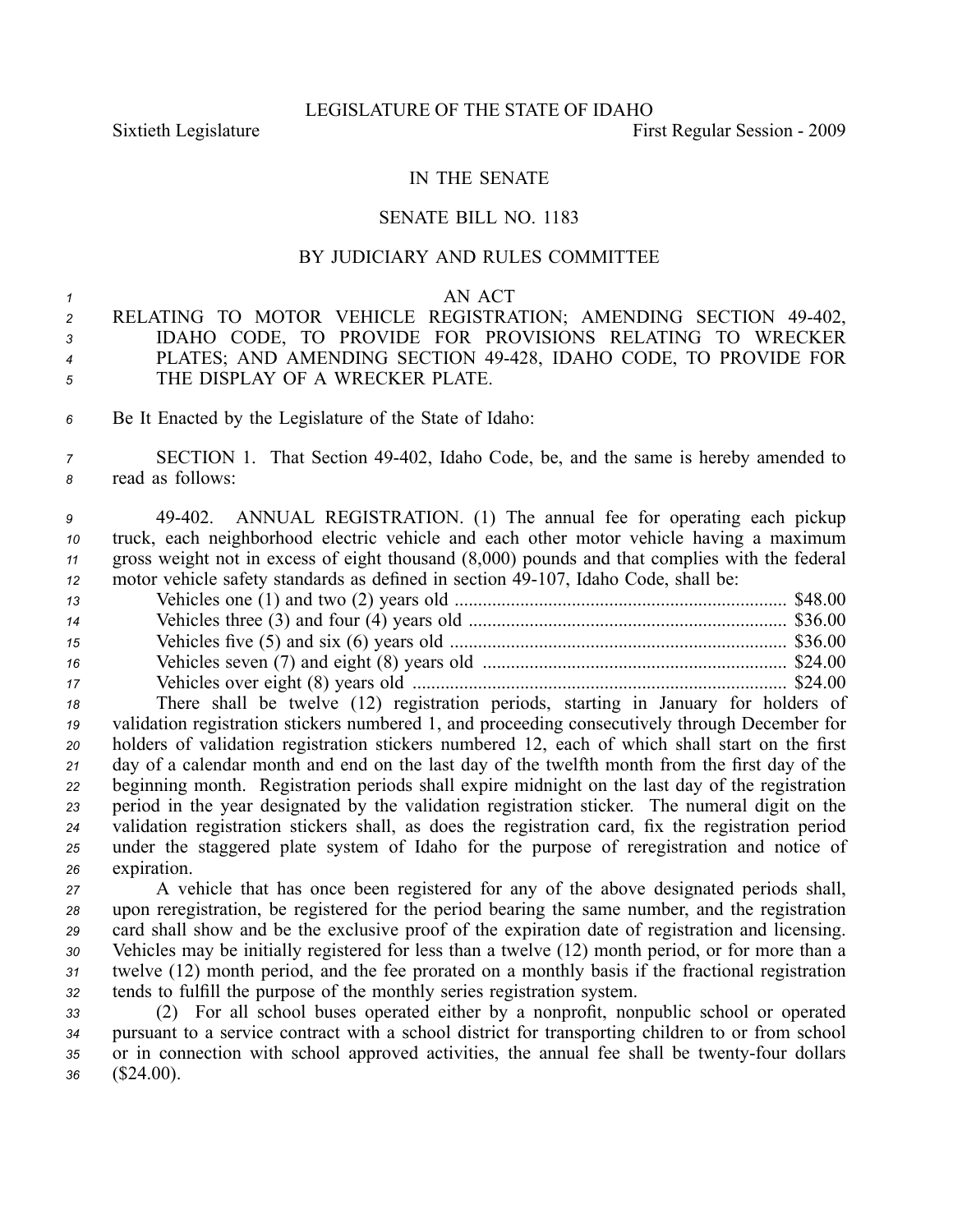## IN THE SENATE

## SENATE BILL NO. 1183

## BY JUDICIARY AND RULES COMMITTEE

## *1* AN ACT

- *<sup>2</sup>* RELATING TO MOTOR VEHICLE REGISTRATION; AMENDING SECTION 49402, *<sup>3</sup>* IDAHO CODE, TO PROVIDE FOR PROVISIONS RELATING TO WRECKER *<sup>4</sup>* PLATES; AND AMENDING SECTION 49428, IDAHO CODE, TO PROVIDE FOR *<sup>5</sup>* THE DISPLAY OF A WRECKER PLATE.
- *<sup>6</sup>* Be It Enacted by the Legislature of the State of Idaho:

*<sup>7</sup>* SECTION 1. That Section 49402, Idaho Code, be, and the same is hereby amended to *<sup>8</sup>* read as follows:

 49402. ANNUAL REGISTRATION. (1) The annual fee for operating each pickup truck, each neighborhood electric vehicle and each other motor vehicle having <sup>a</sup> maximum gross weight not in excess of eight thousand (8,000) pounds and that complies with the federal motor vehicle safety standards as defined in section 49-107, Idaho Code, shall be:

| 13 |  |
|----|--|
| 14 |  |
| 15 |  |
| 16 |  |
| 17 |  |

 There shall be twelve (12) registration periods, starting in January for holders of validation registration stickers numbered 1, and proceeding consecutively through December for holders of validation registration stickers numbered 12, each of which shall start on the first day of <sup>a</sup> calendar month and end on the last day of the twelfth month from the first day of the beginning month. Registration periods shall expire midnight on the last day of the registration period in the year designated by the validation registration sticker. The numeral digit on the validation registration stickers shall, as does the registration card, fix the registration period under the staggered plate system of Idaho for the purpose of reregistration and notice of expiration.

 A vehicle that has once been registered for any of the above designated periods shall, upon reregistration, be registered for the period bearing the same number, and the registration card shall show and be the exclusive proof of the expiration date of registration and licensing. Vehicles may be initially registered for less than <sup>a</sup> twelve (12) month period, or for more than <sup>a</sup> twelve (12) month period, and the fee prorated on <sup>a</sup> monthly basis if the fractional registration tends to fulfill the purpose of the monthly series registration system.

*<sup>33</sup>* (2) For all school buses operated either by <sup>a</sup> nonprofit, nonpublic school or operated *<sup>34</sup>* pursuan<sup>t</sup> to <sup>a</sup> service contract with <sup>a</sup> school district for transporting children to or from school 35 or in connection with school approved activities, the annual fee shall be twenty-four dollars *<sup>36</sup>* (\$24.00).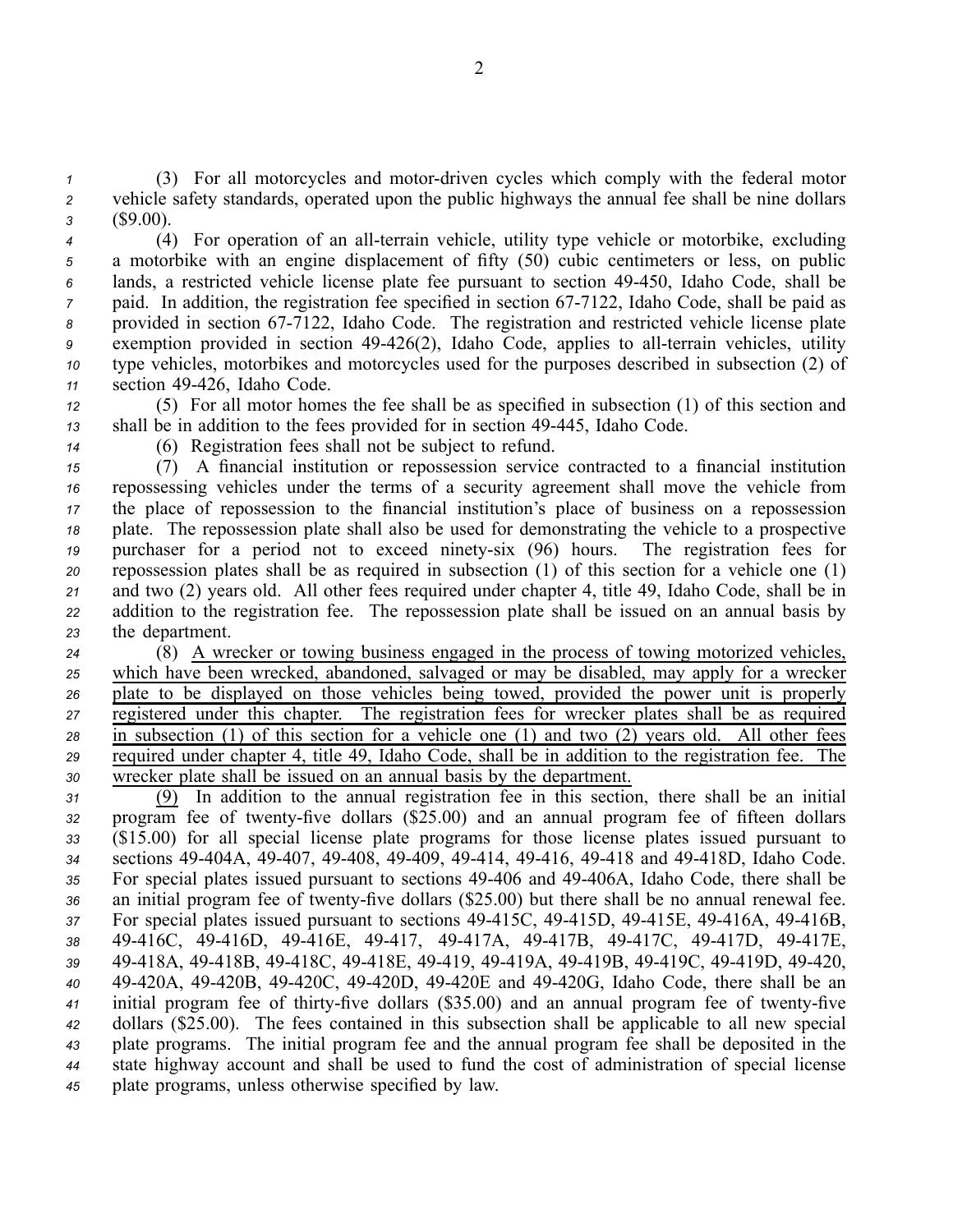*1* (3) For all motorcycles and motor-driven cycles which comply with the federal motor *<sup>2</sup>* vehicle safety standards, operated upon the public highways the annual fee shall be nine dollars *<sup>3</sup>* (\$9.00).

4 (4) For operation of an all-terrain vehicle, utility type vehicle or motorbike, excluding <sup>a</sup> motorbike with an engine displacement of fifty (50) cubic centimeters or less, on public lands, <sup>a</sup> restricted vehicle license plate fee pursuan<sup>t</sup> to section 49450, Idaho Code, shall be paid. In addition, the registration fee specified in section 67-7122, Idaho Code, shall be paid as provided in section 677122, Idaho Code. The registration and restricted vehicle license plate <sup>9</sup> exemption provided in section 49-426(2), Idaho Code, applies to all-terrain vehicles, utility type vehicles, motorbikes and motorcycles used for the purposes described in subsection (2) of section 49426, Idaho Code.

*<sup>12</sup>* (5) For all motor homes the fee shall be as specified in subsection (1) of this section and *<sup>13</sup>* shall be in addition to the fees provided for in section 49445, Idaho Code.

*<sup>14</sup>* (6) Registration fees shall not be subject to refund.

 (7) A financial institution or repossession service contracted to <sup>a</sup> financial institution repossessing vehicles under the terms of <sup>a</sup> security agreemen<sup>t</sup> shall move the vehicle from the place of repossession to the financial institution's place of business on <sup>a</sup> repossession plate. The repossession plate shall also be used for demonstrating the vehicle to <sup>a</sup> prospective 19 purchaser for a period not to exceed ninety-six (96) hours. The registration fees for repossession plates shall be as required in subsection (1) of this section for <sup>a</sup> vehicle one (1) and two (2) years old. All other fees required under chapter 4, title 49, Idaho Code, shall be in addition to the registration fee. The repossession plate shall be issued on an annual basis by the department.

 (8) A wrecker or towing business engaged in the process of towing motorized vehicles, which have been wrecked, abandoned, salvaged or may be disabled, may apply for <sup>a</sup> wrecker plate to be displayed on those vehicles being towed, provided the power unit is properly registered under this chapter. The registration fees for wrecker plates shall be as required in subsection (1) of this section for <sup>a</sup> vehicle one (1) and two (2) years old. All other fees required under chapter 4, title 49, Idaho Code, shall be in addition to the registration fee. The wrecker plate shall be issued on an annual basis by the department.

 (9) In addition to the annual registration fee in this section, there shall be an initial 32 program fee of twenty-five dollars (\$25.00) and an annual program fee of fifteen dollars (\$15.00) for all special license plate programs for those license plates issued pursuan<sup>t</sup> to sections 49404A, 49407, 49408, 49409, 49414, 49416, 49418 and 49418D, Idaho Code. 35 For special plates issued pursuant to sections 49-406 and 49-406A, Idaho Code, there shall be 36 an initial program fee of twenty-five dollars (\$25.00) but there shall be no annual renewal fee. For special plates issued pursuant to sections  $49-415C$ ,  $49-415D$ ,  $49-415E$ ,  $49-416A$ ,  $49-416B$ , 49416C, 49416D, 49416E, 49417, 49417A, 49417B, 49417C, 49417D, 49417E, 49418A, 49418B, 49418C, 49418E, 49419, 49419A, 49419B, 49419C, 49419D, 49420, 49420A, 49420B, 49420C, 49420D, 49420E and 49420G, Idaho Code, there shall be an 41 initial program fee of thirty-five dollars (\$35.00) and an annual program fee of twenty-five dollars (\$25.00). The fees contained in this subsection shall be applicable to all new special plate programs. The initial program fee and the annual program fee shall be deposited in the state highway account and shall be used to fund the cost of administration of special license plate programs, unless otherwise specified by law.